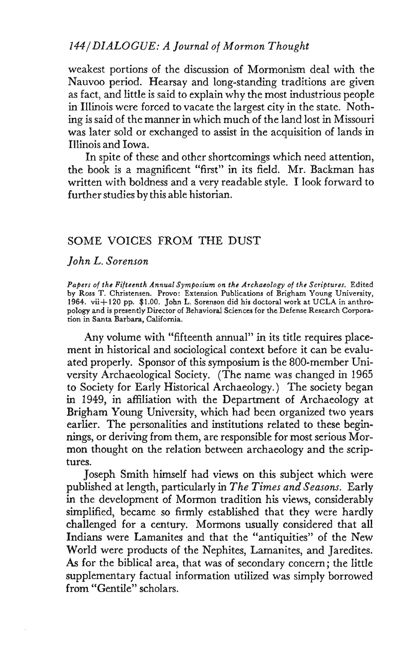## *144/DIALOGUE: A Journal of Mormon Thought*

weakest portions of the discussion of Mormonism deal with the Nauvoo period. Hearsay and long-standing traditions are given as fact, and little is said to explain why the most industrious people in Illinois were forced to vacate the largest city in the state. Nothing is said of the manner in which much of the land lost in Missouri was later sold or exchanged to assist in the acquisition of lands in Illinois and Iowa.

In spite of these and other shortcomings which need attention, the book is a magnificent "first" in its field. Mr. Backman has written with boldness and a very readable style. I look forward to further studies by this able historian.

## SOME VOICES FROM THE DUST

## *John L. Sorenson*

*Papers of the Fifteenth Annual Symposium on the Archaeology of the Scriptures.* Edited by Ross T. Christensen. Provo: Extension Publications of Brigham Young University, 1964. vii+120 pp. \$1.00. John L. Sorenson did his doctoral work at UCLA in anthropology and is presently Director of Behavioral Sciences for the Defense Research Corporation in Santa Barbara, California.

Any volume with "fifteenth annual" in its title requires placement in historical and sociological context before it can be evaluated properly. Sponsor of this symposium is the 800-member University Archaeological Society. (The name was changed in 1965 to Society for Early Historical Archaeology.) The society began in 1949, in affiliation with the Department of Archaeology at Brigham Young University, which had been organized two years earlier. The personalities and institutions related to these beginnings, or deriving from them, are responsible for most serious Mormon thought on the relation between archaeology and the scriptures.

Joseph Smith himself had views on this subject which were published at length, particularly in *The Times and Seasons.* Early in the development of Mormon tradition his views, considerably simplified, became so firmly established that they were hardly challenged for a century. Mormons usually considered that all Indians were Lamanites and that the "antiquities" of the New World were products of the Nephites, Lamanites, and Jaredites. As for the biblical area, that was of secondary concern; the little supplementary factual information utilized was simply borrowed from "Gentile" scholars.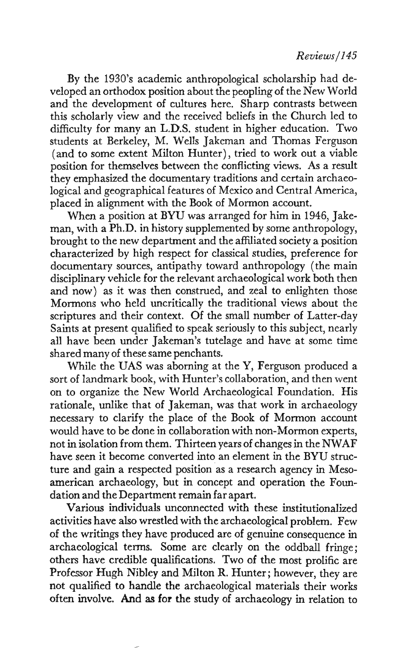By the 1930's academic anthropological scholarship had developed an orthodox position about the peopling of the New World and the development of cultures here. Sharp contrasts between this scholarly view and the received beliefs in the Church led to difficulty for many an L.D.S. student in higher education. Two students at Berkeley, M. Wells Jakeman and Thomas Ferguson (and to some extent Milton Hunter), tried to work out a viable position for themselves between the conflicting views. As a result they emphasized the documentary traditions and certain archaeological and geographical features of Mexico and Central America, placed in alignment with the Book of Mormon account.

When a position at BYU was arranged for him in 1946, Jakeman, with a Ph.D. in history supplemented by some anthropology, brought to the new department and the affiliated society a position characterized by high respect for classical studies, preference for documentary sources, antipathy toward anthropology (the main disciplinary vehicle for the relevant archaeological work both then and now) as it was then construed, and zeal to enlighten those Mormons who held uncritically the traditional views about the scriptures and their context. Of the small number of Latter-day Saints at present qualified to speak seriously to this subject, nearly all have been under Jakeman's tutelage and have at some time shared many of these same penchants.

While the UAS was aborning at the Y, Ferguson produced a sort of landmark book, with Hunter's collaboration, and then went on to organize the New World Archaeological Foundation. His rationale, unlike that of Jakeman, was that work in archaeology necessary to clarify the place of the Book of Mormon account would have to be done in collaboration with non-Mormon experts, not in isolation from them. Thirteen years of changes in the NWAF have seen it become converted into an element in the BYU structure and gain a respected position as a research agency in Mesoamerican archaeology, but in concept and operation the Foundation and the Department remain far apart.

Various individuals unconnected with these institutionalized activities have also wrestled with the archaeological problem. Few of the writings they have produced are of genuine consequence in archaeological terms. Some are clearly on the oddball fringe; others have credible qualifications. Two of the most prolific are Professor Hugh Nibley and Milton R. Hunter; however, they are not qualified to handle **the** archaeological materials their works often involve. **And** as **for the** study of archaeology in relation to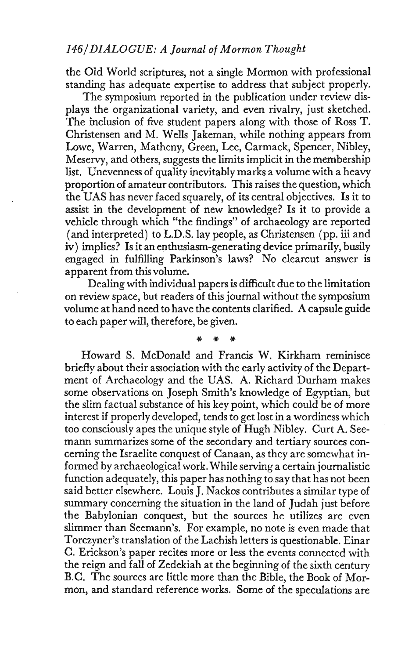## *146/DIALOGUE: A Journal of Mormon Thought*

the Old World scriptures, not a single Mormon with professional standing has adequate expertise to address that subject properly.

The symposium reported in the publication under review displays the organizational variety, and even rivalry, just sketched. The inclusion of five student papers along with those of Ross T. Christensen and M. Wells Jakeman, while nothing appears from Lowe, Warren, Matheny, Green, Lee, Carmack, Spencer, Nibley, Meservy, and others, suggests the limits implicit in the membership list. Unevenness of quality inevitably marks a volume with a heavy proportion of amateur contributors. This raises the question, which the UAS has never faced squarely, of its central objectives. Is it to assist in the development of new knowledge? Is it to provide a vehicle through which "the findings" of archaeology are reported (and interpreted) to L.D.S. lay people, as Christensen (pp. iii and iv) implies? Is it an enthusiasm-generating device primarily, busily engaged in fulfilling Parkinson's laws? No clearcut answer is apparent from this volume.

Dealing with individual papers is difficult due to the limitation on review space, but readers of this journal without the symposium volume at hand need to have the contents clarified. A capsule guide to each paper will, therefore, be given.

**\* \* #**

Howard S. McDonald and Francis W. Kirkham reminisce briefly about their association with the early activity of the Department of Archaeology and the UAS. A. Richard Durham makes some observations on Joseph Smith's knowledge of Egyptian, but the slim factual substance of his key point, which could be of more interest if properly developed, tends to get lost in a wordiness which too consciously apes the unique style of Hugh Nibley. Curt A. Seemann summarizes some of the secondary and tertiary sources concerning the Israelite conquest of Canaan, as they are somewhat informed by archaeological work. While serving a certain journalistic function adequately, this paper has nothing to say that has not been said better elsewhere. Louis J. Nackos contributes a similar type of summary concerning the situation in the land of Judah just before the Babylonian conquest, but the sources he utilizes are even slimmer than Seemann's. For example, no note is even made that Torczyner's translation of the Lachish letters is questionable. Einar C. Erickson's paper recites more or less the events connected with the reign and fall of Zedekiah at the beginning of the sixth century B.C. The sources are little more than the Bible, the Book of Mormon, and standard reference works. Some of the speculations are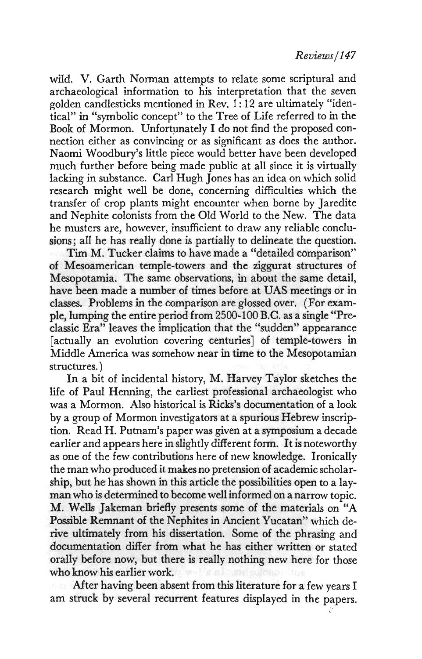wild. V. Garth Norman attempts to relate some scriptural and archaeological information to his interpretation that the seven golden candlesticks mentioned in Rev. 1:12 are ultimately "identical" in "symbolic concept" to the Tree of Life referred to in the Book of Mormon. Unfortunately I do not find the proposed connection either as convincing or as significant as does the author. Naomi Woodbury's little piece would better have been developed much further before being made public at all since it is virtually lacking in substance. Carl Hugh Jones has an idea on which solid research might well be done, concerning difficulties which the transfer of crop plants might encounter when borne by Jaredite and Nephite colonists from the Old World to the New. The data he musters are, however, insufficient to draw any reliable conclusions ; all he has really done is partially to delineate the question.

Tim M. Tucker claims to have made a "detailed comparison" of Mesoamerican temple-towers and the ziggurat structures of Mesopotamia. The same observations, in about the same detail, have been made a number of times before at UAS meetings or in classes. Problems in the comparison are glossed over. (For example, lumping the entire period from 2500-100 B.C. as a single "Preclassic Era" leaves the implication that the "sudden" appearance [actually an evolution covering centuries] of temple-towers in Middle America was somehow near in time to the Mesopotamian structures.)

In a bit of incidental history, M. Harvey Taylor sketches the life of Paul Henning, the earliest professional archaeologist who was a Mormon. Also historical is Ricks's documentation of a look by a group of Mormon investigators at a spurious Hebrew inscription. Read H. Putnam's paper was given at a symposium a decade earlier and appears here in slightly different form. It is noteworthy as one of the few contributions here of new knowledge. Ironically the man who produced it makes no pretension of academic scholarship, but he has shown in this article the possibilities open to a layman who is determined to become well informed on a narrow topic. M. Wells Jakeman briefly presents some of the materials on "A Possible Remnant of the Nephites in Ancient Yucatan" which derive ultimately from his dissertation. Some of the phrasing and documentation differ from what he has either written or stated orally before now, but there is really nothing new here for those who know his earlier work.

After having been absent from this literature for a few years I am struck by several recurrent features displayed in the papers.